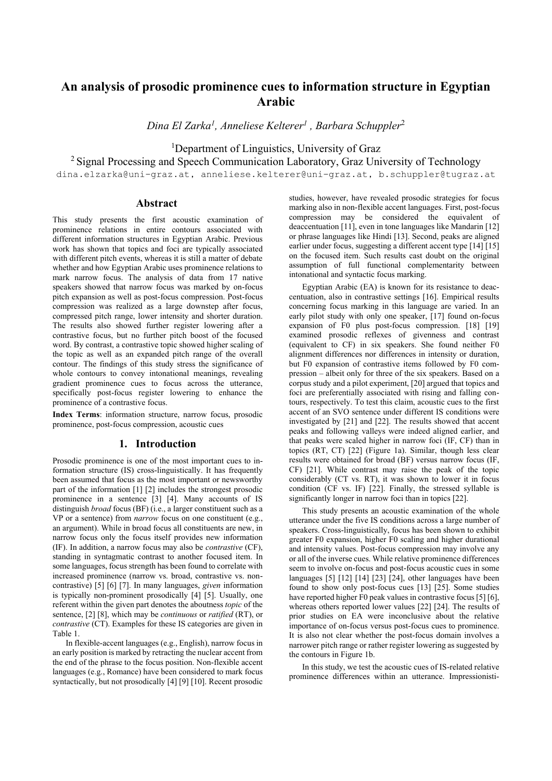# **An analysis of prosodic prominence cues to information structure in Egyptian Arabic**

*Dina El Zarka<sup>1</sup> , Anneliese Kelterer<sup>1</sup> , Barbara Schuppler*<sup>2</sup>

<sup>1</sup>Department of Linguistics, University of Graz

<sup>2</sup> Signal Processing and Speech Communication Laboratory, Graz University of Technology

dina.elzarka@uni-graz.at, anneliese.kelterer@uni-graz.at, b.schuppler@tugraz.at

# **Abstract**

This study presents the first acoustic examination of prominence relations in entire contours associated with different information structures in Egyptian Arabic. Previous work has shown that topics and foci are typically associated with different pitch events, whereas it is still a matter of debate whether and how Egyptian Arabic uses prominence relations to mark narrow focus. The analysis of data from 17 native speakers showed that narrow focus was marked by on-focus pitch expansion as well as post-focus compression. Post-focus compression was realized as a large downstep after focus, compressed pitch range, lower intensity and shorter duration. The results also showed further register lowering after a contrastive focus, but no further pitch boost of the focused word. By contrast, a contrastive topic showed higher scaling of the topic as well as an expanded pitch range of the overall contour. The findings of this study stress the significance of whole contours to convey intonational meanings, revealing gradient prominence cues to focus across the utterance, specifically post-focus register lowering to enhance the prominence of a contrastive focus.

**Index Terms**: information structure, narrow focus, prosodic prominence, post-focus compression, acoustic cues

# **1. Introduction**

Prosodic prominence is one of the most important cues to information structure (IS) cross-linguistically. It has frequently been assumed that focus as the most important or newsworthy part of the information [1] [2] includes the strongest prosodic prominence in a sentence [3] [4]. Many accounts of IS distinguish *broad* focus (BF) (i.e., a larger constituent such as a VP or a sentence) from *narrow* focus on one constituent (e.g., an argument). While in broad focus all constituents are new, in narrow focus only the focus itself provides new information (IF). In addition, a narrow focus may also be *contrastive* (CF), standing in syntagmatic contrast to another focused item. In some languages, focus strength has been found to correlate with increased prominence (narrow vs. broad, contrastive vs. noncontrastive) [5] [6] [7]. In many languages, *given* information is typically non-prominent prosodically [4] [5]. Usually, one referent within the given part denotes the aboutness *topic* of the sentence, [2] [8], which may be *continuous* or *ratified* (RT), or *contrastive* (CT). Examples for these IS categories are given in Table 1.

In flexible-accent languages (e.g., English), narrow focus in an early position is marked by retracting the nuclear accent from the end of the phrase to the focus position. Non-flexible accent languages (e.g., Romance) have been considered to mark focus syntactically, but not prosodically [4] [9] [10]. Recent prosodic

studies, however, have revealed prosodic strategies for focus marking also in non-flexible accent languages. First, post-focus compression may be considered the equivalent of deaccentuation [11], even in tone languages like Mandarin [12] or phrase languages like Hindi [13]. Second, peaks are aligned earlier under focus, suggesting a different accent type [14] [15] on the focused item. Such results cast doubt on the original assumption of full functional complementarity between intonational and syntactic focus marking.

Egyptian Arabic (EA) is known for its resistance to deaccentuation, also in contrastive settings [16]. Empirical results concerning focus marking in this language are varied. In an early pilot study with only one speaker, [17] found on-focus expansion of F0 plus post-focus compression. [18] [19] examined prosodic reflexes of givenness and contrast (equivalent to CF) in six speakers. She found neither F0 alignment differences nor differences in intensity or duration, but F0 expansion of contrastive items followed by F0 compression – albeit only for three of the six speakers. Based on a corpus study and a pilot experiment, [20] argued that topics and foci are preferentially associated with rising and falling contours, respectively. To test this claim, acoustic cues to the first accent of an SVO sentence under different IS conditions were investigated by [21] and [22]. The results showed that accent peaks and following valleys were indeed aligned earlier, and that peaks were scaled higher in narrow foci (IF, CF) than in topics (RT, CT) [22] (Figure 1a). Similar, though less clear results were obtained for broad (BF) versus narrow focus (IF, CF) [21]. While contrast may raise the peak of the topic considerably (CT vs. RT), it was shown to lower it in focus condition (CF vs. IF) [22]. Finally, the stressed syllable is significantly longer in narrow foci than in topics [22].

This study presents an acoustic examination of the whole utterance under the five IS conditions across a large number of speakers. Cross-linguistically, focus has been shown to exhibit greater F0 expansion, higher F0 scaling and higher durational and intensity values. Post-focus compression may involve any or all of the inverse cues. While relative prominence differences seem to involve on-focus and post-focus acoustic cues in some languages [5] [12] [14] [23] [24], other languages have been found to show only post-focus cues [13] [25]. Some studies have reported higher F0 peak values in contrastive focus [5] [6], whereas others reported lower values [22] [24]. The results of prior studies on EA were inconclusive about the relative importance of on-focus versus post-focus cues to prominence. It is also not clear whether the post-focus domain involves a narrower pitch range or rather register lowering as suggested by the contours in Figure 1b.

In this study, we test the acoustic cues of IS-related relative prominence differences within an utterance. Impressionisti-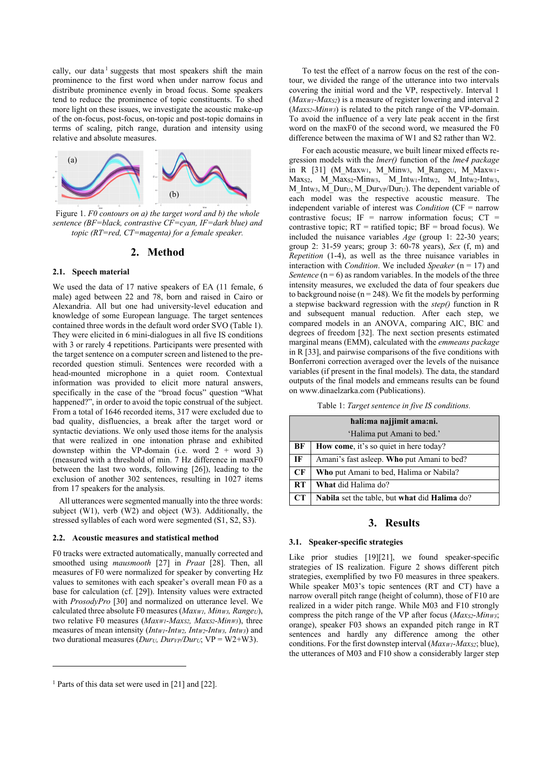cally, our data<sup>1</sup> suggests that most speakers shift the main prominence to the first word when under narrow focus and distribute prominence evenly in broad focus. Some speakers tend to reduce the prominence of topic constituents. To shed more light on these issues, we investigate the acoustic make-up of the on-focus, post-focus, on-topic and post-topic domains in terms of scaling, pitch range, duration and intensity using relative and absolute measures.



Figure 1. *F0 contours on a) the target word and b) the whole sentence (BF=black, contrastive CF=cyan, IF=dark blue) and topic (RT=red, CT=magenta) for a female speaker.*

### **2. Method**

#### **2.1. Speech material**

We used the data of 17 native speakers of EA (11 female, 6 male) aged between 22 and 78, born and raised in Cairo or Alexandria. All but one had university-level education and knowledge of some European language. The target sentences contained three words in the default word order SVO (Table 1). They were elicited in 6 mini-dialogues in all five IS conditions with 3 or rarely 4 repetitions. Participants were presented with the target sentence on a computer screen and listened to the prerecorded question stimuli. Sentences were recorded with a head-mounted microphone in a quiet room. Contextual information was provided to elicit more natural answers, specifically in the case of the "broad focus" question "What happened?", in order to avoid the topic construal of the subject. From a total of 1646 recorded items, 317 were excluded due to bad quality, disfluencies, a break after the target word or syntactic deviations. We only used those items for the analysis that were realized in one intonation phrase and exhibited downstep within the VP-domain (i.e. word  $2 + word 3$ ) (measured with a threshold of min. 7 Hz difference in maxF0 between the last two words, following [26]), leading to the exclusion of another 302 sentences, resulting in 1027 items from 17 speakers for the analysis.

All utterances were segmented manually into the three words: subject (W1), verb (W2) and object (W3). Additionally, the stressed syllables of each word were segmented (S1, S2, S3).

#### **2.2. Acoustic measures and statistical method**

F0 tracks were extracted automatically, manually corrected and smoothed using *mausmooth* [27] in *Praat* [28]. Then, all measures of F0 were normalized for speaker by converting Hz values to semitones with each speaker's overall mean F0 as a base for calculation (cf. [29]). Intensity values were extracted with *ProsodyPro* [30] and normalized on utterance level. We calculated three absolute F0 measures (*MaxW1, MinW3, RangeU*), two relative F0 measures (*MaxW1-MaxS2, MaxS2-MinW3*), three measures of mean intensity (*IntW1-IntW2, IntW2-IntW3, IntW3*) and two durational measures (*DurU, DurVP/DurU*; VP = W2+W3).

 $\overline{a}$ 

To test the effect of a narrow focus on the rest of the contour, we divided the range of the utterance into two intervals covering the initial word and the VP, respectively. Interval 1 (*MaxW1-MaxS2*) is a measure of register lowering and interval 2 (*MaxS2-MinW3*) is related to the pitch range of the VP-domain. To avoid the influence of a very late peak accent in the first word on the maxF0 of the second word, we measured the F0 difference between the maxima of W1 and S2 rather than W2.

For each acoustic measure, we built linear mixed effects regression models with the *lmer()* function of the *lme4 package* in R [31] (M\_Maxw1, M\_Minw3, M\_Rangeu, M\_Maxw1-Max<sub>S2</sub>, M\_Max<sub>S2</sub>-Min<sub>W3</sub>, M\_Int<sub>W1</sub>-Intw<sub>2</sub>, M\_Intw<sub>2</sub>-Intw<sub>3</sub>, M\_Intw3, M\_Dur<sub>U</sub>, M\_Durv<sub>P</sub>/Dur<sub>U</sub>). The dependent variable of each model was the respective acoustic measure. The independent variable of interest was *Condition* (CF = narrow contrastive focus; IF = narrow information focus;  $CT =$ contrastive topic;  $RT =$  ratified topic;  $BF =$  broad focus). We included the nuisance variables *Age* (group 1: 22-30 years; group 2: 31-59 years; group 3: 60-78 years), *Sex* (f, m) and *Repetition* (1-4), as well as the three nuisance variables in interaction with *Condition*. We included *Speaker* (n = 17) and *Sentence*  $(n = 6)$  as random variables. In the models of the three intensity measures, we excluded the data of four speakers due to background noise ( $n = 248$ ). We fit the models by performing a stepwise backward regression with the *step()* function in R and subsequent manual reduction. After each step, we compared models in an ANOVA, comparing AIC, BIC and degrees of freedom [32]. The next section presents estimated marginal means (EMM), calculated with the *emmeans package* in R [33], and pairwise comparisons of the five conditions with Bonferroni correction averaged over the levels of the nuisance variables (if present in the final models). The data, the standard outputs of the final models and emmeans results can be found on www.dinaelzarka.com (Publications).

Table 1: *Target sentence in five IS conditions.*

| hali:ma najjimit ama:ni.   |                                                |
|----------------------------|------------------------------------------------|
| 'Halima put Amani to bed.' |                                                |
| BF                         | How come, it's so quiet in here today?         |
| IF                         | Amani's fast asleep. Who put Amani to bed?     |
| CF                         | <b>Who</b> put Amani to bed, Halima or Nabila? |
| RT                         | What did Halima do?                            |
| CT                         | Nabila set the table, but what did Halima do?  |

# **3. Results**

# **3.1. Speaker-specific strategies**

Like prior studies [19][21], we found speaker-specific strategies of IS realization. Figure 2 shows different pitch strategies, exemplified by two F0 measures in three speakers. While speaker M03's topic sentences (RT and CT) have a narrow overall pitch range (height of column), those of F10 are realized in a wider pitch range. While M03 and F10 strongly compress the pitch range of the VP after focus (*MaxS2-MinW3*; orange), speaker F03 shows an expanded pitch range in RT sentences and hardly any difference among the other conditions. For the first downstep interval (*MaxW1-MaxS2*; blue), the utterances of M03 and F10 show a considerably larger step

<sup>&</sup>lt;sup>1</sup> Parts of this data set were used in [21] and [22].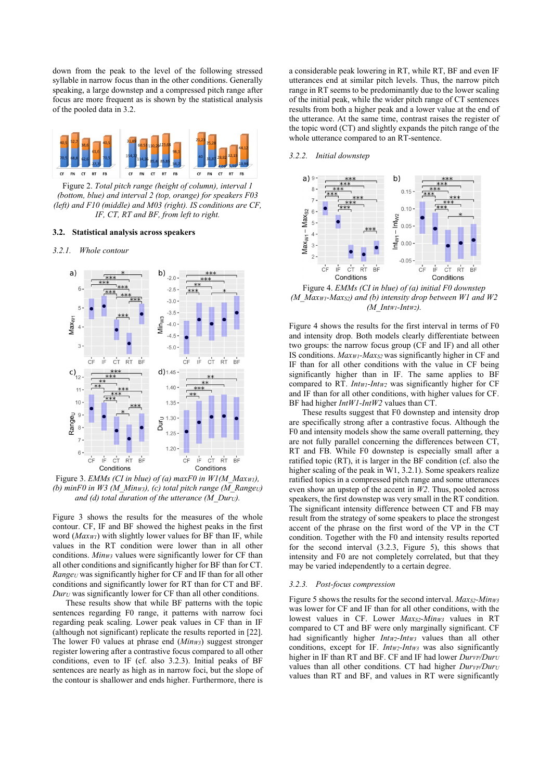down from the peak to the level of the following stressed syllable in narrow focus than in the other conditions. Generally speaking, a large downstep and a compressed pitch range after focus are more frequent as is shown by the statistical analysis of the pooled data in 3.2.



Figure 2. *Total pitch range (height of column), interval 1 (bottom, blue) and interval 2 (top, orange) for speakers F03 (left) and F10 (middle) and M03 (right). IS conditions are CF, IF, CT, RT and BF, from left to right.*

#### **3.2. Statistical analysis across speakers**

#### *3.2.1. Whole contour*



Figure 3. *EMMs (CI in blue) of (a) maxF0 in W1(M\_MaxW1), (b) minF0 in W3 (M\_MinW3), (c) total pitch range (M\_RangeU) and (d) total duration of the utterance (M\_DurU).* 

Figure 3 shows the results for the measures of the whole contour. CF, IF and BF showed the highest peaks in the first word (*MaxW1*) with slightly lower values for BF than IF, while values in the RT condition were lower than in all other conditions. *MinW3* values were significantly lower for CF than all other conditions and significantly higher for BF than for CT. *Range<sup>U</sup>* was significantly higher for CF and IF than for all other conditions and significantly lower for RT than for CT and BF. *Dur<sup>U</sup>* was significantly lower for CF than all other conditions.

These results show that while BF patterns with the topic sentences regarding F0 range, it patterns with narrow foci regarding peak scaling. Lower peak values in CF than in IF (although not significant) replicate the results reported in [22]. The lower F0 values at phrase end (*MinW3*) suggest stronger register lowering after a contrastive focus compared to all other conditions, even to IF (cf. also 3.2.3). Initial peaks of BF sentences are nearly as high as in narrow foci, but the slope of the contour is shallower and ends higher. Furthermore, there is

a considerable peak lowering in RT, while RT, BF and even IF utterances end at similar pitch levels. Thus, the narrow pitch range in RT seems to be predominantly due to the lower scaling of the initial peak, while the wider pitch range of CT sentences results from both a higher peak and a lower value at the end of the utterance. At the same time, contrast raises the register of the topic word (CT) and slightly expands the pitch range of the whole utterance compared to an RT-sentence.

#### *3.2.2. Initial downstep*



Figure 4. *EMMs (CI in blue) of (a) initial F0 downstep (M\_MaxW1-MaxS2) and (b) intensity drop between W1 and W2 (M\_IntW1-IntW2).* 

Figure 4 shows the results for the first interval in terms of F0 and intensity drop. Both models clearly differentiate between two groups: the narrow focus group (CF and IF) and all other IS conditions. *MaxW1-MaxS2* was significantly higher in CF and IF than for all other conditions with the value in CF being significantly higher than in IF. The same applies to BF compared to RT. *IntW1-IntW2* was significantly higher for CF and IF than for all other conditions, with higher values for CF. BF had higher *IntW1-IntW2* values than CT.

These results suggest that F0 downstep and intensity drop are specifically strong after a contrastive focus. Although the F0 and intensity models show the same overall patterning, they are not fully parallel concerning the differences between CT, RT and FB. While F0 downstep is especially small after a ratified topic (RT), it is larger in the BF condition (cf. also the higher scaling of the peak in W1, 3.2.1). Some speakers realize ratified topics in a compressed pitch range and some utterances even show an upstep of the accent in *W2*. Thus, pooled across speakers, the first downstep was very small in the RT condition. The significant intensity difference between CT and FB may result from the strategy of some speakers to place the strongest accent of the phrase on the first word of the VP in the CT condition. Together with the F0 and intensity results reported for the second interval (3.2.3, Figure 5), this shows that intensity and F0 are not completely correlated, but that they may be varied independently to a certain degree.

#### *3.2.3. Post-focus compression*

Figure 5 shows the results for the second interval. *MaxS2-MinW3* was lower for CF and IF than for all other conditions, with the lowest values in CF. Lower *MaxS2-MinW3* values in RT compared to CT and BF were only marginally significant. CF had significantly higher *IntW2-IntW3* values than all other conditions, except for IF. *IntW2-IntW3* was also significantly higher in IF than RT and BF. CF and IF had lower  $\overrightarrow{D_{\mu\nu\rho}}/D_{\mu\nu}$ values than all other conditions. CT had higher *Durve*/*Dury* values than RT and BF, and values in RT were significantly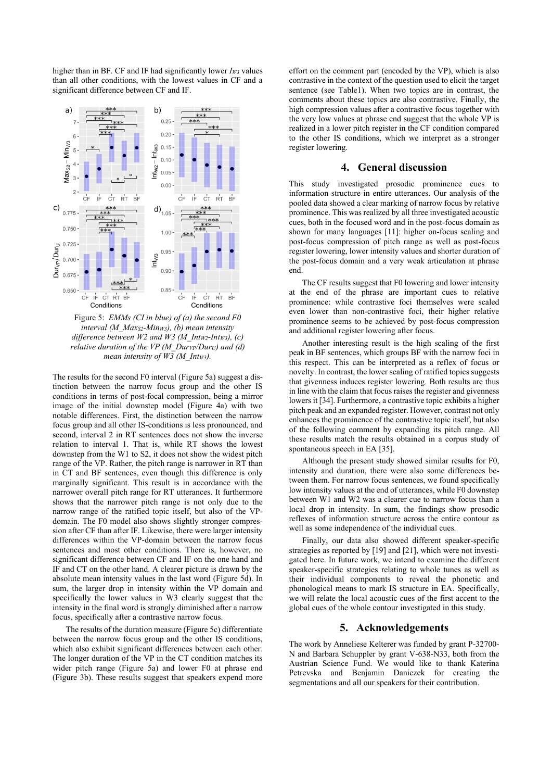higher than in BF. CF and IF had significantly lower *IW3* values than all other conditions, with the lowest values in CF and a significant difference between CF and IF.



Figure 5: *EMMs (CI in blue) of (a) the second F0 interval (M\_MaxS2-MinW3), (b) mean intensity difference between W2 and W3 (M\_IntW2-IntW3), (c) relative duration of the VP (M\_DurVP/DurU) and (d) mean intensity of W3 (M\_IntW3).*

The results for the second F0 interval (Figure 5a) suggest a distinction between the narrow focus group and the other IS conditions in terms of post-focal compression, being a mirror image of the initial downstep model (Figure 4a) with two notable differences. First, the distinction between the narrow focus group and all other IS-conditions is less pronounced, and second, interval 2 in RT sentences does not show the inverse relation to interval 1. That is, while RT shows the lowest downstep from the W1 to S2, it does not show the widest pitch range of the VP. Rather, the pitch range is narrower in RT than in CT and BF sentences, even though this difference is only marginally significant. This result is in accordance with the narrower overall pitch range for RT utterances. It furthermore shows that the narrower pitch range is not only due to the narrow range of the ratified topic itself, but also of the VPdomain. The F0 model also shows slightly stronger compression after CF than after IF. Likewise, there were larger intensity differences within the VP-domain between the narrow focus sentences and most other conditions. There is, however, no significant difference between CF and IF on the one hand and IF and CT on the other hand. A clearer picture is drawn by the absolute mean intensity values in the last word (Figure 5d). In sum, the larger drop in intensity within the VP domain and specifically the lower values in W3 clearly suggest that the intensity in the final word is strongly diminished after a narrow focus, specifically after a contrastive narrow focus.

The results of the duration measure (Figure 5c) differentiate between the narrow focus group and the other IS conditions, which also exhibit significant differences between each other. The longer duration of the VP in the CT condition matches its wider pitch range (Figure 5a) and lower F0 at phrase end (Figure 3b). These results suggest that speakers expend more effort on the comment part (encoded by the VP), which is also contrastive in the context of the question used to elicit the target sentence (see Table1). When two topics are in contrast, the comments about these topics are also contrastive. Finally, the high compression values after a contrastive focus together with the very low values at phrase end suggest that the whole VP is realized in a lower pitch register in the CF condition compared to the other IS conditions, which we interpret as a stronger register lowering.

# **4. General discussion**

This study investigated prosodic prominence cues to information structure in entire utterances. Our analysis of the pooled data showed a clear marking of narrow focus by relative prominence. This was realized by all three investigated acoustic cues, both in the focused word and in the post-focus domain as shown for many languages [11]: higher on-focus scaling and post-focus compression of pitch range as well as post-focus register lowering, lower intensity values and shorter duration of the post-focus domain and a very weak articulation at phrase end.

The CF results suggest that F0 lowering and lower intensity at the end of the phrase are important cues to relative prominence: while contrastive foci themselves were scaled even lower than non-contrastive foci, their higher relative prominence seems to be achieved by post-focus compression and additional register lowering after focus.

Another interesting result is the high scaling of the first peak in BF sentences, which groups BF with the narrow foci in this respect. This can be interpreted as a reflex of focus or novelty. In contrast, the lower scaling of ratified topics suggests that givenness induces register lowering. Both results are thus in line with the claim that focus raises the register and givenness lowers it [34]. Furthermore, a contrastive topic exhibits a higher pitch peak and an expanded register. However, contrast not only enhances the prominence of the contrastive topic itself, but also of the following comment by expanding its pitch range. All these results match the results obtained in a corpus study of spontaneous speech in EA [35].

Although the present study showed similar results for F0, intensity and duration, there were also some differences between them. For narrow focus sentences, we found specifically low intensity values at the end of utterances, while F0 downstep between W1 and W2 was a clearer cue to narrow focus than a local drop in intensity. In sum, the findings show prosodic reflexes of information structure across the entire contour as well as some independence of the individual cues.

Finally, our data also showed different speaker-specific strategies as reported by [19] and [21], which were not investigated here. In future work, we intend to examine the different speaker-specific strategies relating to whole tunes as well as their individual components to reveal the phonetic and phonological means to mark IS structure in EA. Specifically, we will relate the local acoustic cues of the first accent to the global cues of the whole contour investigated in this study.

## **5. Acknowledgements**

The work by Anneliese Kelterer was funded by grant P-32700- N and Barbara Schuppler by grant V-638-N33, both from the Austrian Science Fund. We would like to thank Katerina Petrevska and Benjamin Daniczek for creating the segmentations and all our speakers for their contribution.